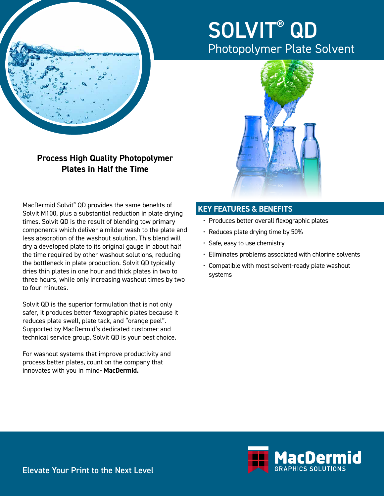

# SOLVIT® QD Photopolymer Plate Solvent



**Process High Quality Photopolymer Plates in Half the Time**

MacDermid Solvit® QD provides the same benefits of Solvit M100, plus a substantial reduction in plate drying times. Solvit QD is the result of blending tow primary components which deliver a milder wash to the plate and less absorption of the washout solution. This blend will dry a developed plate to its original gauge in about half the time required by other washout solutions, reducing the bottleneck in plate production. Solvit QD typically dries thin plates in one hour and thick plates in two to three hours, while only increasing washout times by two to four minutes.

Solvit QD is the superior formulation that is not only safer, it produces better flexographic plates because it reduces plate swell, plate tack, and "orange peel". Supported by MacDermid's dedicated customer and technical service group, Solvit QD is your best choice.

For washout systems that improve productivity and process better plates, count on the company that innovates with you in mind- **MacDermid.**

### **KEY FEATURES & BENEFITS**

- Produces better overall flexographic plates
- Reduces plate drying time by 50%
- Safe, easy to use chemistry
- Eliminates problems associated with chlorine solvents
- Compatible with most solvent-ready plate washout systems